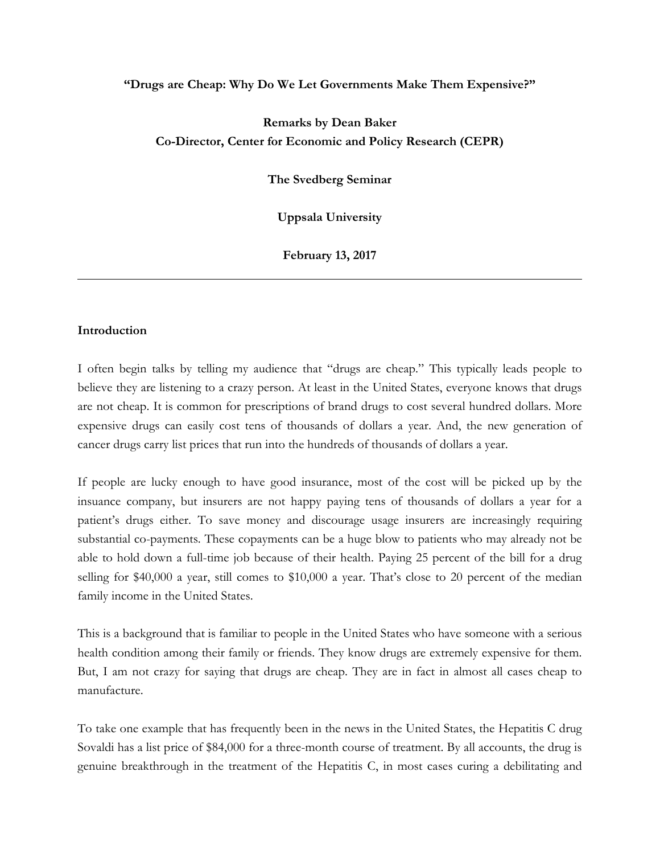#### **"Drugs are Cheap: Why Do We Let Governments Make Them Expensive?"**

# **Remarks by Dean Baker Co-Director, Center for Economic and Policy Research (CEPR)**

**The Svedberg Seminar**

**Uppsala University**

**February 13, 2017**

#### **Introduction**

I often begin talks by telling my audience that "drugs are cheap." This typically leads people to believe they are listening to a crazy person. At least in the United States, everyone knows that drugs are not cheap. It is common for prescriptions of brand drugs to cost several hundred dollars. More expensive drugs can easily cost tens of thousands of dollars a year. And, the new generation of cancer drugs carry list prices that run into the hundreds of thousands of dollars a year.

If people are lucky enough to have good insurance, most of the cost will be picked up by the insuance company, but insurers are not happy paying tens of thousands of dollars a year for a patient's drugs either. To save money and discourage usage insurers are increasingly requiring substantial co-payments. These copayments can be a huge blow to patients who may already not be able to hold down a full-time job because of their health. Paying 25 percent of the bill for a drug selling for \$40,000 a year, still comes to \$10,000 a year. That's close to 20 percent of the median family income in the United States.

This is a background that is familiar to people in the United States who have someone with a serious health condition among their family or friends. They know drugs are extremely expensive for them. But, I am not crazy for saying that drugs are cheap. They are in fact in almost all cases cheap to manufacture.

To take one example that has frequently been in the news in the United States, the Hepatitis C drug Sovaldi has a list price of \$84,000 for a three-month course of treatment. By all accounts, the drug is genuine breakthrough in the treatment of the Hepatitis C, in most cases curing a debilitating and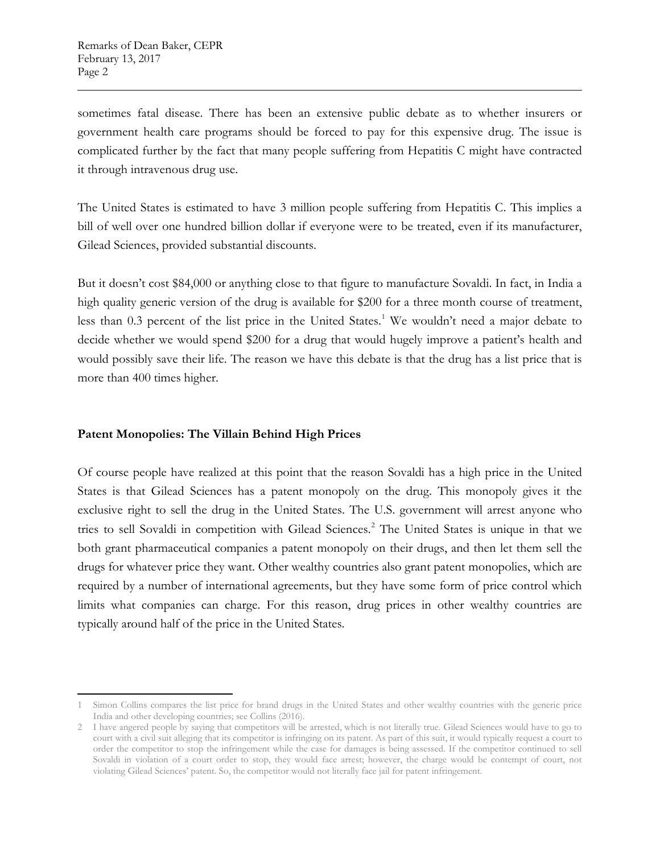sometimes fatal disease. There has been an extensive public debate as to whether insurers or government health care programs should be forced to pay for this expensive drug. The issue is complicated further by the fact that many people suffering from Hepatitis C might have contracted it through intravenous drug use.

The United States is estimated to have 3 million people suffering from Hepatitis C. This implies a bill of well over one hundred billion dollar if everyone were to be treated, even if its manufacturer, Gilead Sciences, provided substantial discounts.

But it doesn't cost \$84,000 or anything close to that figure to manufacture Sovaldi. In fact, in India a high quality generic version of the drug is available for \$200 for a three month course of treatment, less than 0.3 percent of the list price in the United States.<sup>[1](#page-1-0)</sup> We wouldn't need a major debate to decide whether we would spend \$200 for a drug that would hugely improve a patient's health and would possibly save their life. The reason we have this debate is that the drug has a list price that is more than 400 times higher.

## **Patent Monopolies: The Villain Behind High Prices**

Of course people have realized at this point that the reason Sovaldi has a high price in the United States is that Gilead Sciences has a patent monopoly on the drug. This monopoly gives it the exclusive right to sell the drug in the United States. The U.S. government will arrest anyone who tries to sell Sovaldi in competition with Gilead Sciences.[2](#page-1-1) The United States is unique in that we both grant pharmaceutical companies a patent monopoly on their drugs, and then let them sell the drugs for whatever price they want. Other wealthy countries also grant patent monopolies, which are required by a number of international agreements, but they have some form of price control which limits what companies can charge. For this reason, drug prices in other wealthy countries are typically around half of the price in the United States.

<span id="page-1-0"></span><sup>1</sup> Simon Collins compares the list price for brand drugs in the United States and other wealthy countries with the generic price India and other developing countries; see Collins (2016).  $\overline{\phantom{a}}$ 

<span id="page-1-1"></span><sup>2</sup> I have angered people by saying that competitors will be arrested, which is not literally true. Gilead Sciences would have to go to court with a civil suit alleging that its competitor is infringing on its patent. As part of this suit, it would typically request a court to order the competitor to stop the infringement while the case for damages is being assessed. If the competitor continued to sell Sovaldi in violation of a court order to stop, they would face arrest; however, the charge would be contempt of court, not violating Gilead Sciences' patent. So, the competitor would not literally face jail for patent infringement.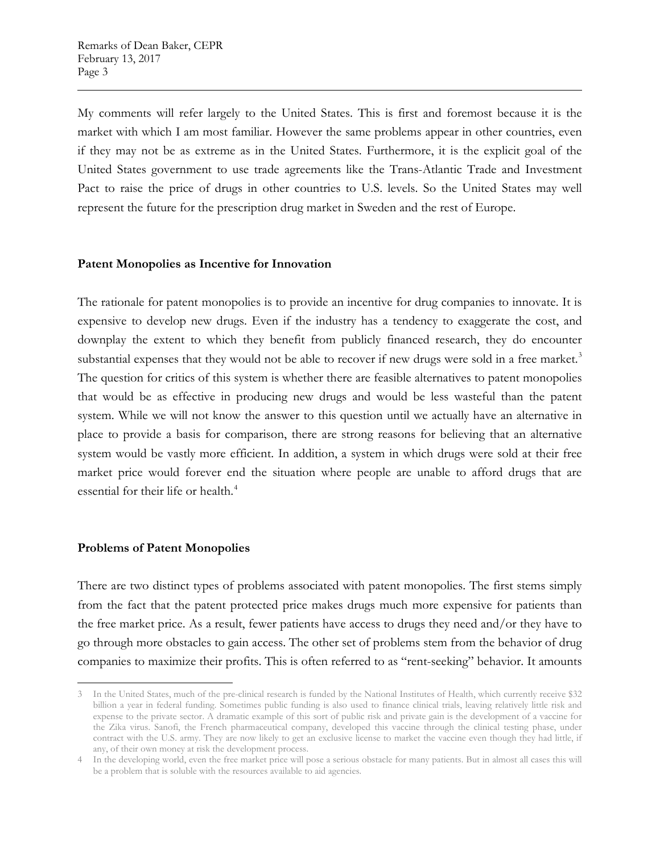My comments will refer largely to the United States. This is first and foremost because it is the market with which I am most familiar. However the same problems appear in other countries, even if they may not be as extreme as in the United States. Furthermore, it is the explicit goal of the United States government to use trade agreements like the Trans-Atlantic Trade and Investment Pact to raise the price of drugs in other countries to U.S. levels. So the United States may well represent the future for the prescription drug market in Sweden and the rest of Europe.

#### **Patent Monopolies as Incentive for Innovation**

The rationale for patent monopolies is to provide an incentive for drug companies to innovate. It is expensive to develop new drugs. Even if the industry has a tendency to exaggerate the cost, and downplay the extent to which they benefit from publicly financed research, they do encounter substantial expenses that they would not be able to recover if new drugs were sold in a free market.<sup>[3](#page-2-0)</sup> The question for critics of this system is whether there are feasible alternatives to patent monopolies that would be as effective in producing new drugs and would be less wasteful than the patent system. While we will not know the answer to this question until we actually have an alternative in place to provide a basis for comparison, there are strong reasons for believing that an alternative system would be vastly more efficient. In addition, a system in which drugs were sold at their free market price would forever end the situation where people are unable to afford drugs that are essential for their life or health.<sup>[4](#page-2-1)</sup>

#### **Problems of Patent Monopolies**

 $\overline{\phantom{a}}$ 

There are two distinct types of problems associated with patent monopolies. The first stems simply from the fact that the patent protected price makes drugs much more expensive for patients than the free market price. As a result, fewer patients have access to drugs they need and/or they have to go through more obstacles to gain access. The other set of problems stem from the behavior of drug companies to maximize their profits. This is often referred to as "rent-seeking" behavior. It amounts

<span id="page-2-0"></span><sup>3</sup> In the United States, much of the pre-clinical research is funded by the National Institutes of Health, which currently receive \$32 billion a year in federal funding. Sometimes public funding is also used to finance clinical trials, leaving relatively little risk and expense to the private sector. A dramatic example of this sort of public risk and private gain is the development of a vaccine for the Zika virus. Sanofi, the French pharmaceutical company, developed this vaccine through the clinical testing phase, under contract with the U.S. army. They are now likely to get an exclusive license to market the vaccine even though they had little, if any, of their own money at risk the development process.

<span id="page-2-1"></span><sup>4</sup> In the developing world, even the free market price will pose a serious obstacle for many patients. But in almost all cases this will be a problem that is soluble with the resources available to aid agencies.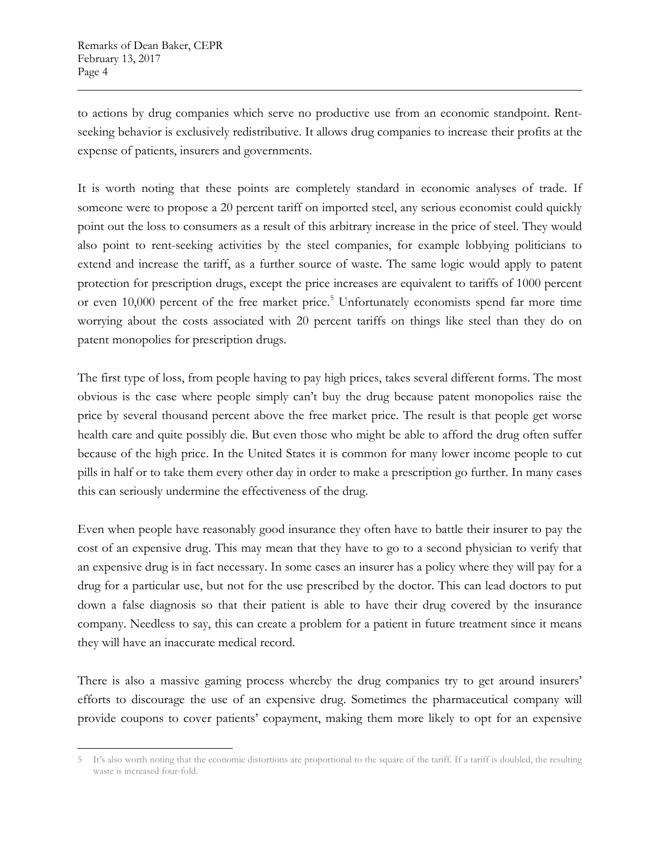to actions by drug companies which serve no productive use from an economic standpoint. Rentseeking behavior is exclusively redistributive. It allows drug companies to increase their profits at the expense of patients, insurers and governments.

It is worth noting that these points are completely standard in economic analyses of trade. If someone were to propose a 20 percent tariff on imported steel, any serious economist could quickly point out the loss to consumers as a result of this arbitrary increase in the price of steel. They would also point to rent-seeking activities by the steel companies, for example lobbying politicians to extend and increase the tariff, as a further source of waste. The same logic would apply to patent protection for prescription drugs, except the price increases are equivalent to tariffs of 1000 percent or even 10,000 percent of the free market price.<sup>5</sup> Unfortunately economists spend far more time worrying about the costs associated with 20 percent tariffs on things like steel than they do on patent monopolies for prescription drugs.

The first type of loss, from people having to pay high prices, takes several different forms. The most obvious is the case where people simply can't buy the drug because patent monopolies raise the price by several thousand percent above the free market price. The result is that people get worse health care and quite possibly die. But even those who might be able to afford the drug often suffer because of the high price. In the United States it is common for many lower income people to cut pills in half or to take them every other day in order to make a prescription go further. In many cases this can seriously undermine the effectiveness of the drug.

Even when people have reasonably good insurance they often have to battle their insurer to pay the cost of an expensive drug. This may mean that they have to go to a second physician to verify that an expensive drug is in fact necessary. In some cases an insurer has a policy where they will pay for a drug for a particular use, but not for the use prescribed by the doctor. This can lead doctors to put down a false diagnosis so that their patient is able to have their drug covered by the insurance company. Needless to say, this can create a problem for a patient in future treatment since it means they will have an inaccurate medical record.

There is also a massive gaming process whereby the drug companies try to get around insurers' efforts to discourage the use of an expensive drug. Sometimes the pharmaceutical company will provide coupons to cover patients' copayment, making them more likely to opt for an expensive

<span id="page-3-0"></span><sup>5</sup> It's also worth noting that the economic distortions are proportional to the square of the tariff. If a tariff is doubled, the resulting waste is increased four-fold.  $\overline{\phantom{a}}$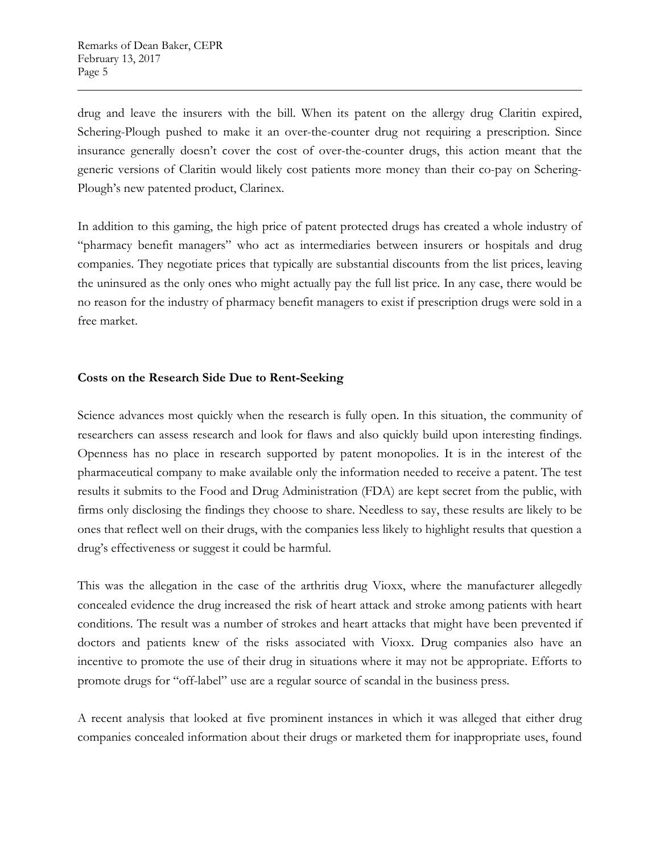drug and leave the insurers with the bill. When its patent on the allergy drug Claritin expired, Schering-Plough pushed to make it an over-the-counter drug not requiring a prescription. Since insurance generally doesn't cover the cost of over-the-counter drugs, this action meant that the generic versions of Claritin would likely cost patients more money than their co-pay on Schering-Plough's new patented product, Clarinex.

In addition to this gaming, the high price of patent protected drugs has created a whole industry of "pharmacy benefit managers" who act as intermediaries between insurers or hospitals and drug companies. They negotiate prices that typically are substantial discounts from the list prices, leaving the uninsured as the only ones who might actually pay the full list price. In any case, there would be no reason for the industry of pharmacy benefit managers to exist if prescription drugs were sold in a free market.

## **Costs on the Research Side Due to Rent-Seeking**

Science advances most quickly when the research is fully open. In this situation, the community of researchers can assess research and look for flaws and also quickly build upon interesting findings. Openness has no place in research supported by patent monopolies. It is in the interest of the pharmaceutical company to make available only the information needed to receive a patent. The test results it submits to the Food and Drug Administration (FDA) are kept secret from the public, with firms only disclosing the findings they choose to share. Needless to say, these results are likely to be ones that reflect well on their drugs, with the companies less likely to highlight results that question a drug's effectiveness or suggest it could be harmful.

This was the allegation in the case of the arthritis drug Vioxx, where the manufacturer allegedly concealed evidence the drug increased the risk of heart attack and stroke among patients with heart conditions. The result was a number of strokes and heart attacks that might have been prevented if doctors and patients knew of the risks associated with Vioxx. Drug companies also have an incentive to promote the use of their drug in situations where it may not be appropriate. Efforts to promote drugs for "off-label" use are a regular source of scandal in the business press.

A recent analysis that looked at five prominent instances in which it was alleged that either drug companies concealed information about their drugs or marketed them for inappropriate uses, found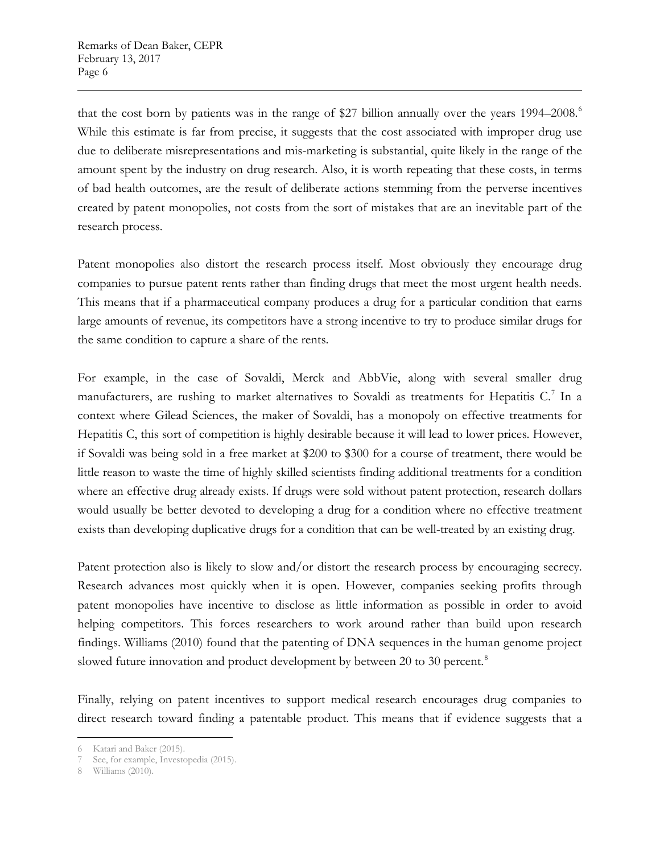that the cost born by patients was in the range of \$27 billion annually over the years  $1994-2008$ .<sup>[6](#page-5-0)</sup> While this estimate is far from precise, it suggests that the cost associated with improper drug use due to deliberate misrepresentations and mis-marketing is substantial, quite likely in the range of the amount spent by the industry on drug research. Also, it is worth repeating that these costs, in terms of bad health outcomes, are the result of deliberate actions stemming from the perverse incentives created by patent monopolies, not costs from the sort of mistakes that are an inevitable part of the research process.

Patent monopolies also distort the research process itself. Most obviously they encourage drug companies to pursue patent rents rather than finding drugs that meet the most urgent health needs. This means that if a pharmaceutical company produces a drug for a particular condition that earns large amounts of revenue, its competitors have a strong incentive to try to produce similar drugs for the same condition to capture a share of the rents.

For example, in the case of Sovaldi, Merck and AbbVie, along with several smaller drug manufacturers, are rushing to market alternatives to Sovaldi as treatments for Hepatitis C.[7](#page-5-1) In a context where Gilead Sciences, the maker of Sovaldi, has a monopoly on effective treatments for Hepatitis C, this sort of competition is highly desirable because it will lead to lower prices. However, if Sovaldi was being sold in a free market at \$200 to \$300 for a course of treatment, there would be little reason to waste the time of highly skilled scientists finding additional treatments for a condition where an effective drug already exists. If drugs were sold without patent protection, research dollars would usually be better devoted to developing a drug for a condition where no effective treatment exists than developing duplicative drugs for a condition that can be well-treated by an existing drug.

Patent protection also is likely to slow and/or distort the research process by encouraging secrecy. Research advances most quickly when it is open. However, companies seeking profits through patent monopolies have incentive to disclose as little information as possible in order to avoid helping competitors. This forces researchers to work around rather than build upon research findings. Williams (2010) found that the patenting of DNA sequences in the human genome project slowed future innovation and product development by between 20 to 30 percent.<sup>[8](#page-5-2)</sup>

Finally, relying on patent incentives to support medical research encourages drug companies to direct research toward finding a patentable product. This means that if evidence suggests that a

<span id="page-5-0"></span><sup>6</sup> Katari and Baker (2015).  $\overline{\phantom{a}}$ 

<span id="page-5-1"></span><sup>7</sup> See, for example, Investopedia (2015).

<span id="page-5-2"></span><sup>8</sup> Williams (2010).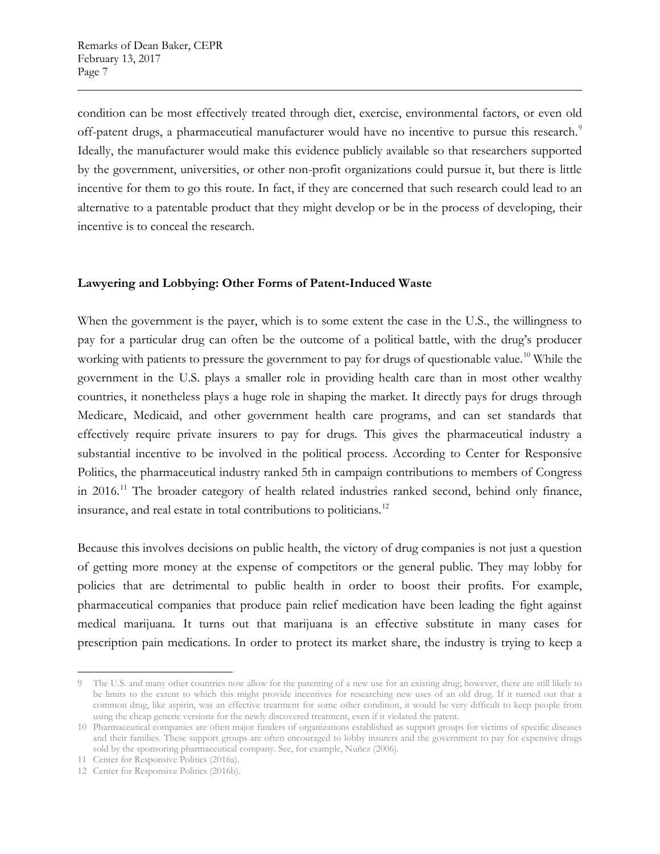condition can be most effectively treated through diet, exercise, environmental factors, or even old off-patent drugs, a pharmaceutical manufacturer would have no incentive to pursue this research.<sup>[9](#page-6-0)</sup> Ideally, the manufacturer would make this evidence publicly available so that researchers supported by the government, universities, or other non-profit organizations could pursue it, but there is little incentive for them to go this route. In fact, if they are concerned that such research could lead to an alternative to a patentable product that they might develop or be in the process of developing, their incentive is to conceal the research.

## **Lawyering and Lobbying: Other Forms of Patent-Induced Waste**

When the government is the payer, which is to some extent the case in the U.S., the willingness to pay for a particular drug can often be the outcome of a political battle, with the drug's producer working with patients to pressure the government to pay for drugs of questionable value.<sup>[10](#page-6-1)</sup> While the government in the U.S. plays a smaller role in providing health care than in most other wealthy countries, it nonetheless plays a huge role in shaping the market. It directly pays for drugs through Medicare, Medicaid, and other government health care programs, and can set standards that effectively require private insurers to pay for drugs. This gives the pharmaceutical industry a substantial incentive to be involved in the political process. According to Center for Responsive Politics, the pharmaceutical industry ranked 5th in campaign contributions to members of Congress in 2016.<sup>[11](#page-6-2)</sup> The broader category of health related industries ranked second, behind only finance, insurance, and real estate in total contributions to politicians.<sup>[12](#page-6-3)</sup>

Because this involves decisions on public health, the victory of drug companies is not just a question of getting more money at the expense of competitors or the general public. They may lobby for policies that are detrimental to public health in order to boost their profits. For example, pharmaceutical companies that produce pain relief medication have been leading the fight against medical marijuana. It turns out that marijuana is an effective substitute in many cases for prescription pain medications. In order to protect its market share, the industry is trying to keep a

<span id="page-6-0"></span><sup>9</sup> The U.S. and many other countries now allow for the patenting of a new use for an existing drug; however, there are still likely to be limits to the extent to which this might provide incentives for researching new uses of an old drug. If it turned out that a common drug, like aspirin, was an effective treatment for some other condition, it would be very difficult to keep people from using the cheap generic versions for the newly discovered treatment, even if it violated the patent.

<span id="page-6-1"></span><sup>10</sup> Pharmaceutical companies are often major funders of organizations established as support groups for victims of specific diseases and their families. These support groups are often encouraged to lobby insurers and the government to pay for expensive drugs sold by the sponsoring pharmaceutical company. See, for example, Nuñez (2006).

<span id="page-6-2"></span><sup>11</sup> Center for Responsive Politics (2016a).

<span id="page-6-3"></span><sup>12</sup> Center for Responsive Politics (2016b).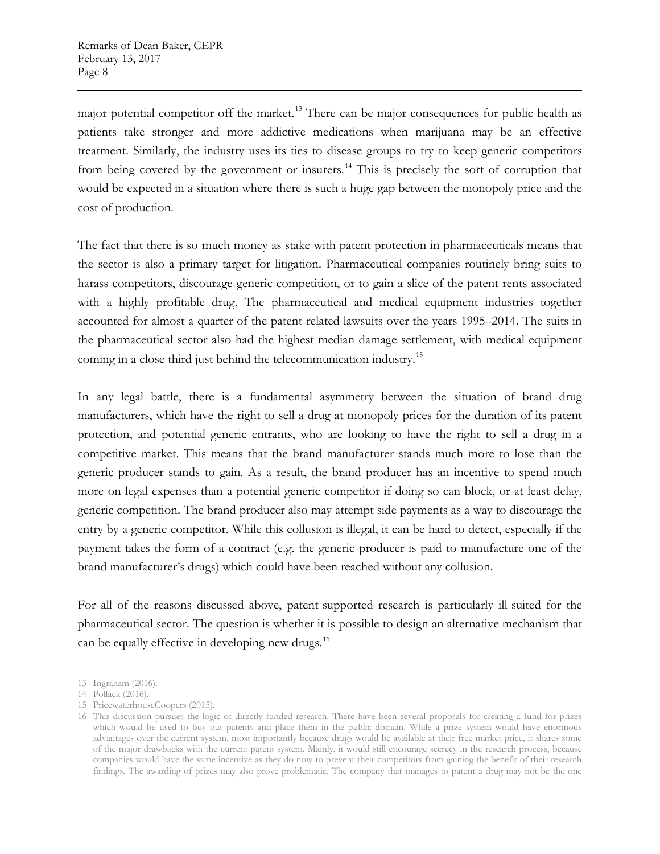major potential competitor off the market.<sup>[13](#page-7-0)</sup> There can be major consequences for public health as patients take stronger and more addictive medications when marijuana may be an effective treatment. Similarly, the industry uses its ties to disease groups to try to keep generic competitors from being covered by the government or insurers.<sup>[14](#page-7-1)</sup> This is precisely the sort of corruption that would be expected in a situation where there is such a huge gap between the monopoly price and the cost of production.

The fact that there is so much money as stake with patent protection in pharmaceuticals means that the sector is also a primary target for litigation. Pharmaceutical companies routinely bring suits to harass competitors, discourage generic competition, or to gain a slice of the patent rents associated with a highly profitable drug. The pharmaceutical and medical equipment industries together accounted for almost a quarter of the patent-related lawsuits over the years 1995–2014. The suits in the pharmaceutical sector also had the highest median damage settlement, with medical equipment coming in a close third just behind the telecommunication industry.<sup>[15](#page-7-2)</sup>

In any legal battle, there is a fundamental asymmetry between the situation of brand drug manufacturers, which have the right to sell a drug at monopoly prices for the duration of its patent protection, and potential generic entrants, who are looking to have the right to sell a drug in a competitive market. This means that the brand manufacturer stands much more to lose than the generic producer stands to gain. As a result, the brand producer has an incentive to spend much more on legal expenses than a potential generic competitor if doing so can block, or at least delay, generic competition. The brand producer also may attempt side payments as a way to discourage the entry by a generic competitor. While this collusion is illegal, it can be hard to detect, especially if the payment takes the form of a contract (e.g. the generic producer is paid to manufacture one of the brand manufacturer's drugs) which could have been reached without any collusion.

For all of the reasons discussed above, patent-supported research is particularly ill-suited for the pharmaceutical sector. The question is whether it is possible to design an alternative mechanism that can be equally effective in developing new drugs.<sup>[16](#page-7-3)</sup>

<span id="page-7-0"></span><sup>13</sup> Ingraham (2016).

<sup>14</sup> [Pollack](http://www.nytimes.com/2016/07/16/business/makers-of-humira-and-enbrel-using-new-drug-patents-to-delay-generic-versions.html) (2016).

<span id="page-7-2"></span><span id="page-7-1"></span><sup>15</sup> PricewaterhouseCoopers (2015).

<span id="page-7-3"></span><sup>16</sup> This discussion pursues the logic of directly funded research. There have been several proposals for creating a fund for prizes which would be used to buy out patents and place them in the public domain. While a prize system would have enormous advantages over the current system, most importantly because drugs would be available at their free market price, it shares some of the major drawbacks with the current patent system. Mainly, it would still encourage secrecy in the research process, because companies would have the same incentive as they do now to prevent their competitors from gaining the benefit of their research findings. The awarding of prizes may also prove problematic. The company that manages to patent a drug may not be the one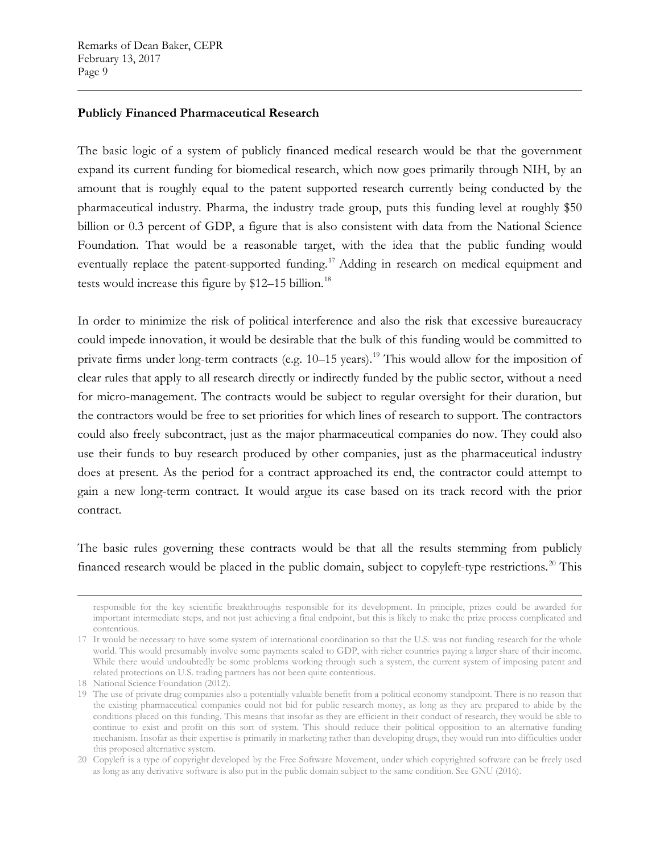## **Publicly Financed Pharmaceutical Research**

The basic logic of a system of publicly financed medical research would be that the government expand its current funding for biomedical research, which now goes primarily through NIH, by an amount that is roughly equal to the patent supported research currently being conducted by the pharmaceutical industry. Pharma, the industry trade group, puts this funding level at roughly \$50 billion or 0.3 percent of GDP, a figure that is also consistent with data from the National Science Foundation. That would be a reasonable target, with the idea that the public funding would eventually replace the patent-supported funding.<sup>[17](#page-8-0)</sup> Adding in research on medical equipment and tests would increase this figure by  $$12-15$  billion.<sup>[18](#page-8-1)</sup>

In order to minimize the risk of political interference and also the risk that excessive bureaucracy could impede innovation, it would be desirable that the bulk of this funding would be committed to private firms under long-term contracts (e.g.  $10-15$  years).<sup>[19](#page-8-2)</sup> This would allow for the imposition of clear rules that apply to all research directly or indirectly funded by the public sector, without a need for micro-management. The contracts would be subject to regular oversight for their duration, but the contractors would be free to set priorities for which lines of research to support. The contractors could also freely subcontract, just as the major pharmaceutical companies do now. They could also use their funds to buy research produced by other companies, just as the pharmaceutical industry does at present. As the period for a contract approached its end, the contractor could attempt to gain a new long-term contract. It would argue its case based on its track record with the prior contract.

The basic rules governing these contracts would be that all the results stemming from publicly financed research would be placed in the public domain, subject to copyleft-type restrictions.<sup>[20](#page-8-3)</sup> This

responsible for the key scientific breakthroughs responsible for its development. In principle, prizes could be awarded for important intermediate steps, and not just achieving a final endpoint, but this is likely to make the prize process complicated and contentious.

<span id="page-8-0"></span><sup>17</sup> It would be necessary to have some system of international coordination so that the U.S. was not funding research for the whole world. This would presumably involve some payments scaled to GDP, with richer countries paying a larger share of their income. While there would undoubtedly be some problems working through such a system, the current system of imposing patent and related protections on U.S. trading partners has not been quite contentious.

<span id="page-8-1"></span><sup>18</sup> National Science Foundation (2012).

<span id="page-8-2"></span><sup>19</sup> The use of private drug companies also a potentially valuable benefit from a political economy standpoint. There is no reason that the existing pharmaceutical companies could not bid for public research money, as long as they are prepared to abide by the conditions placed on this funding. This means that insofar as they are efficient in their conduct of research, they would be able to continue to exist and profit on this sort of system. This should reduce their political opposition to an alternative funding mechanism. Insofar as their expertise is primarily in marketing rather than developing drugs, they would run into difficulties under this proposed alternative system.

<span id="page-8-3"></span><sup>20</sup> Copyleft is a type of copyright developed by the Free Software Movement, under which copyrighted software can be freely used as long as any derivative software is also put in the public domain subject to the same condition. See GNU (2016).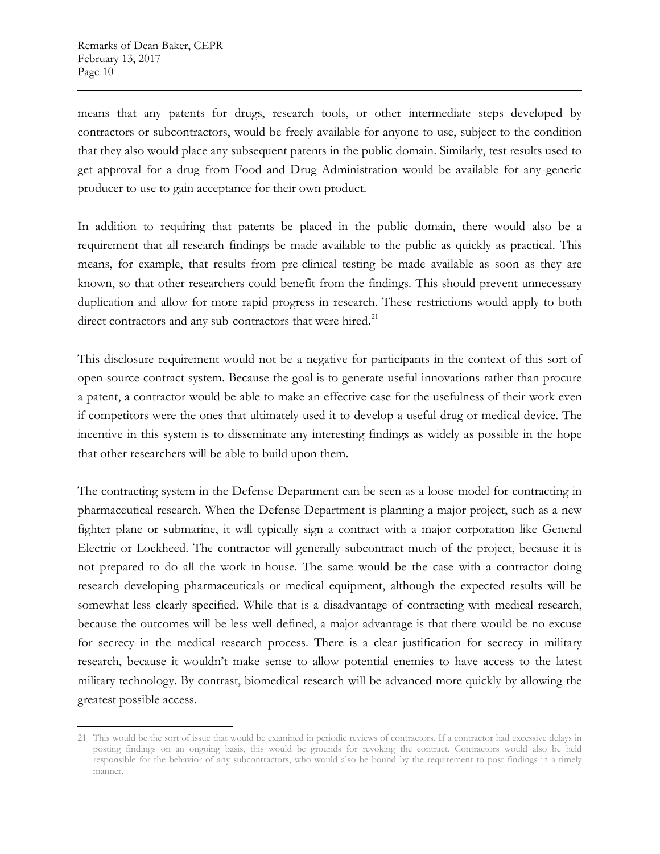means that any patents for drugs, research tools, or other intermediate steps developed by contractors or subcontractors, would be freely available for anyone to use, subject to the condition that they also would place any subsequent patents in the public domain. Similarly, test results used to get approval for a drug from Food and Drug Administration would be available for any generic producer to use to gain acceptance for their own product.

In addition to requiring that patents be placed in the public domain, there would also be a requirement that all research findings be made available to the public as quickly as practical. This means, for example, that results from pre-clinical testing be made available as soon as they are known, so that other researchers could benefit from the findings. This should prevent unnecessary duplication and allow for more rapid progress in research. These restrictions would apply to both direct contractors and any sub-contractors that were hired.<sup>[21](#page-9-0)</sup>

This disclosure requirement would not be a negative for participants in the context of this sort of open-source contract system. Because the goal is to generate useful innovations rather than procure a patent, a contractor would be able to make an effective case for the usefulness of their work even if competitors were the ones that ultimately used it to develop a useful drug or medical device. The incentive in this system is to disseminate any interesting findings as widely as possible in the hope that other researchers will be able to build upon them.

The contracting system in the Defense Department can be seen as a loose model for contracting in pharmaceutical research. When the Defense Department is planning a major project, such as a new fighter plane or submarine, it will typically sign a contract with a major corporation like General Electric or Lockheed. The contractor will generally subcontract much of the project, because it is not prepared to do all the work in-house. The same would be the case with a contractor doing research developing pharmaceuticals or medical equipment, although the expected results will be somewhat less clearly specified. While that is a disadvantage of contracting with medical research, because the outcomes will be less well-defined, a major advantage is that there would be no excuse for secrecy in the medical research process. There is a clear justification for secrecy in military research, because it wouldn't make sense to allow potential enemies to have access to the latest military technology. By contrast, biomedical research will be advanced more quickly by allowing the greatest possible access.

<span id="page-9-0"></span><sup>21</sup> This would be the sort of issue that would be examined in periodic reviews of contractors. If a contractor had excessive delays in posting findings on an ongoing basis, this would be grounds for revoking the contract. Contractors would also be held responsible for the behavior of any subcontractors, who would also be bound by the requirement to post findings in a timely manner.  $\overline{\phantom{a}}$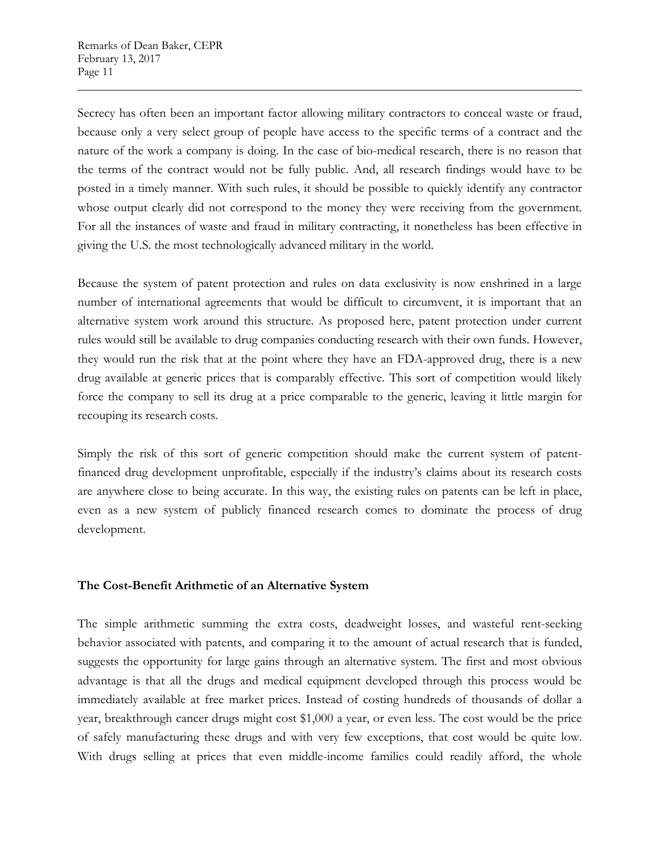Secrecy has often been an important factor allowing military contractors to conceal waste or fraud, because only a very select group of people have access to the specific terms of a contract and the nature of the work a company is doing. In the case of bio-medical research, there is no reason that the terms of the contract would not be fully public. And, all research findings would have to be posted in a timely manner. With such rules, it should be possible to quickly identify any contractor whose output clearly did not correspond to the money they were receiving from the government. For all the instances of waste and fraud in military contracting, it nonetheless has been effective in giving the U.S. the most technologically advanced military in the world.

Because the system of patent protection and rules on data exclusivity is now enshrined in a large number of international agreements that would be difficult to circumvent, it is important that an alternative system work around this structure. As proposed here, patent protection under current rules would still be available to drug companies conducting research with their own funds. However, they would run the risk that at the point where they have an FDA-approved drug, there is a new drug available at generic prices that is comparably effective. This sort of competition would likely force the company to sell its drug at a price comparable to the generic, leaving it little margin for recouping its research costs.

Simply the risk of this sort of generic competition should make the current system of patentfinanced drug development unprofitable, especially if the industry's claims about its research costs are anywhere close to being accurate. In this way, the existing rules on patents can be left in place, even as a new system of publicly financed research comes to dominate the process of drug development.

## **The Cost-Benefit Arithmetic of an Alternative System**

The simple arithmetic summing the extra costs, deadweight losses, and wasteful rent-seeking behavior associated with patents, and comparing it to the amount of actual research that is funded, suggests the opportunity for large gains through an alternative system. The first and most obvious advantage is that all the drugs and medical equipment developed through this process would be immediately available at free market prices. Instead of costing hundreds of thousands of dollar a year, breakthrough cancer drugs might cost \$1,000 a year, or even less. The cost would be the price of safely manufacturing these drugs and with very few exceptions, that cost would be quite low. With drugs selling at prices that even middle-income families could readily afford, the whole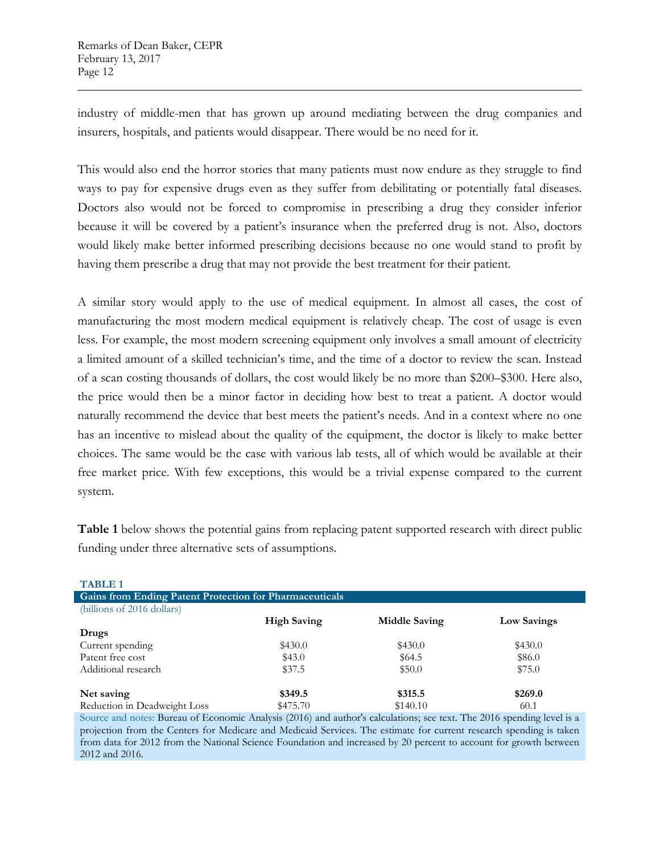industry of middle-men that has grown up around mediating between the drug companies and insurers, hospitals, and patients would disappear. There would be no need for it.

This would also end the horror stories that many patients must now endure as they struggle to find ways to pay for expensive drugs even as they suffer from debilitating or potentially fatal diseases. Doctors also would not be forced to compromise in prescribing a drug they consider inferior because it will be covered by a patient's insurance when the preferred drug is not. Also, doctors would likely make better informed prescribing decisions because no one would stand to profit by having them prescribe a drug that may not provide the best treatment for their patient.

A similar story would apply to the use of medical equipment. In almost all cases, the cost of manufacturing the most modern medical equipment is relatively cheap. The cost of usage is even less. For example, the most modern screening equipment only involves a small amount of electricity a limited amount of a skilled technician's time, and the time of a doctor to review the scan. Instead of a scan costing thousands of dollars, the cost would likely be no more than \$200–\$300. Here also, the price would then be a minor factor in deciding how best to treat a patient. A doctor would naturally recommend the device that best meets the patient's needs. And in a context where no one has an incentive to mislead about the quality of the equipment, the doctor is likely to make better choices. The same would be the case with various lab tests, all of which would be available at their free market price. With few exceptions, this would be a trivial expense compared to the current system.

**Table 1** below shows the potential gains from replacing patent supported research with direct public funding under three alternative sets of assumptions.

| <b>TABLE 1</b>                                          |                    |               |                    |  |  |  |  |  |  |  |  |
|---------------------------------------------------------|--------------------|---------------|--------------------|--|--|--|--|--|--|--|--|
| Gains from Ending Patent Protection for Pharmaceuticals |                    |               |                    |  |  |  |  |  |  |  |  |
| (billions of 2016 dollars)                              |                    |               |                    |  |  |  |  |  |  |  |  |
|                                                         | <b>High Saving</b> | Middle Saving | <b>Low Savings</b> |  |  |  |  |  |  |  |  |
| Drugs                                                   |                    |               |                    |  |  |  |  |  |  |  |  |
| Current spending                                        | \$430.0            | \$430.0       | \$430.0            |  |  |  |  |  |  |  |  |
| Patent free cost                                        | \$43.0             | \$64.5        | \$86.0             |  |  |  |  |  |  |  |  |
| Additional research                                     | \$37.5             | \$50.0        | \$75.0             |  |  |  |  |  |  |  |  |
| Net saving                                              | \$349.5            | \$315.5       | \$269.0            |  |  |  |  |  |  |  |  |
| Reduction in Deadweight Loss                            | \$475.70           | \$140.10      | 60.1               |  |  |  |  |  |  |  |  |

Source and notes: Bureau of Economic Analysis (2016) and author's calculations; see text. The 2016 spending level is a projection from the Centers for Medicare and Medicaid Services. The estimate for current research spending is taken from data for 2012 from the National Science Foundation and increased by 20 percent to account for growth between 2012 and 2016.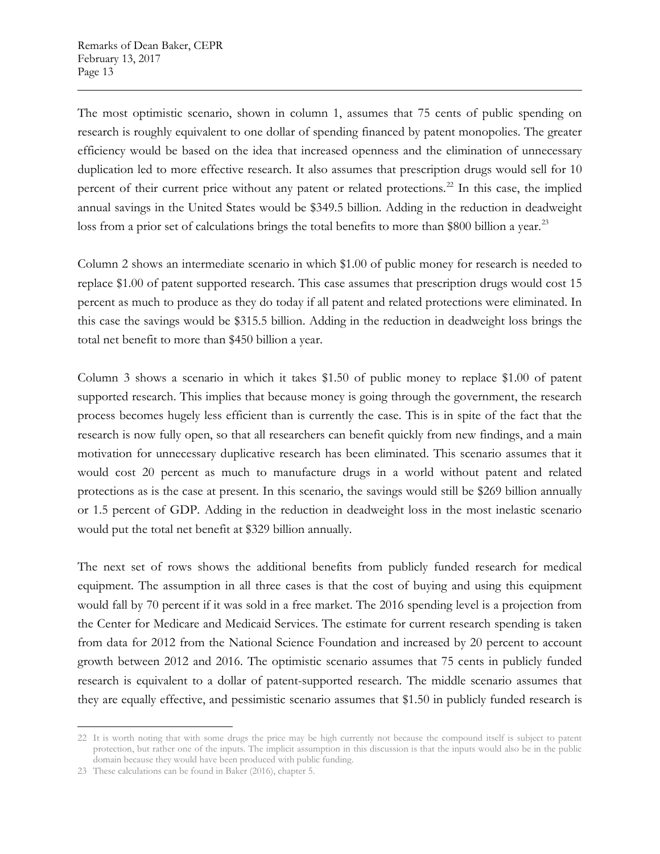The most optimistic scenario, shown in column 1, assumes that 75 cents of public spending on research is roughly equivalent to one dollar of spending financed by patent monopolies. The greater efficiency would be based on the idea that increased openness and the elimination of unnecessary duplication led to more effective research. It also assumes that prescription drugs would sell for 10 percent of their current price without any patent or related protections.<sup>[22](#page-12-0)</sup> In this case, the implied annual savings in the United States would be \$349.5 billion. Adding in the reduction in deadweight loss from a prior set of calculations brings the total benefits to more than \$800 billion a year.<sup>[23](#page-12-1)</sup>

Column 2 shows an intermediate scenario in which \$1.00 of public money for research is needed to replace \$1.00 of patent supported research. This case assumes that prescription drugs would cost 15 percent as much to produce as they do today if all patent and related protections were eliminated. In this case the savings would be \$315.5 billion. Adding in the reduction in deadweight loss brings the total net benefit to more than \$450 billion a year.

Column 3 shows a scenario in which it takes \$1.50 of public money to replace \$1.00 of patent supported research. This implies that because money is going through the government, the research process becomes hugely less efficient than is currently the case. This is in spite of the fact that the research is now fully open, so that all researchers can benefit quickly from new findings, and a main motivation for unnecessary duplicative research has been eliminated. This scenario assumes that it would cost 20 percent as much to manufacture drugs in a world without patent and related protections as is the case at present. In this scenario, the savings would still be \$269 billion annually or 1.5 percent of GDP. Adding in the reduction in deadweight loss in the most inelastic scenario would put the total net benefit at \$329 billion annually.

The next set of rows shows the additional benefits from publicly funded research for medical equipment. The assumption in all three cases is that the cost of buying and using this equipment would fall by 70 percent if it was sold in a free market. The 2016 spending level is a projection from the Center for Medicare and Medicaid Services. The estimate for current research spending is taken from data for 2012 from the National Science Foundation and increased by 20 percent to account growth between 2012 and 2016. The optimistic scenario assumes that 75 cents in publicly funded research is equivalent to a dollar of patent-supported research. The middle scenario assumes that they are equally effective, and pessimistic scenario assumes that \$1.50 in publicly funded research is

<span id="page-12-0"></span><sup>22</sup> It is worth noting that with some drugs the price may be high currently not because the compound itself is subject to patent protection, but rather one of the inputs. The implicit assumption in this discussion is that the inputs would also be in the public domain because they would have been produced with public funding.  $\overline{\phantom{a}}$ 

<span id="page-12-1"></span><sup>23</sup> These calculations can be found in Baker (2016), chapter 5.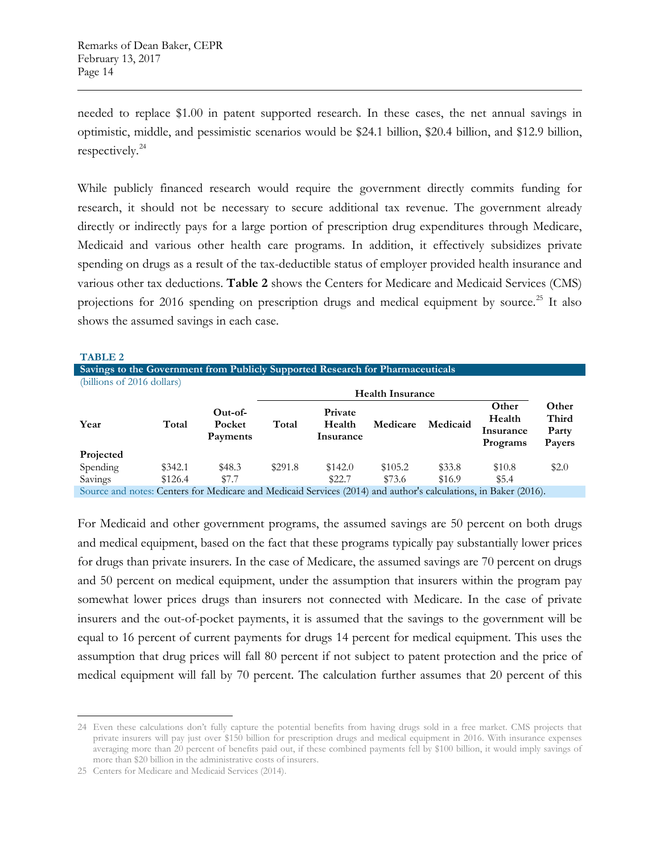needed to replace \$1.00 in patent supported research. In these cases, the net annual savings in optimistic, middle, and pessimistic scenarios would be \$24.1 billion, \$20.4 billion, and \$12.9 billion, respectively.[24](#page-13-0)

While publicly financed research would require the government directly commits funding for research, it should not be necessary to secure additional tax revenue. The government already directly or indirectly pays for a large portion of prescription drug expenditures through Medicare, Medicaid and various other health care programs. In addition, it effectively subsidizes private spending on drugs as a result of the tax-deductible status of employer provided health insurance and various other tax deductions. **Table 2** shows the Centers for Medicare and Medicaid Services (CMS) projections for 2016 spending on prescription drugs and medical equipment by source.<sup>[25](#page-13-1)</sup> It also shows the assumed savings in each case.

| <b>TABLE 2</b>                                                                                                  |         |                                 |                         |                                |          |          |                                          |                                   |  |  |  |  |
|-----------------------------------------------------------------------------------------------------------------|---------|---------------------------------|-------------------------|--------------------------------|----------|----------|------------------------------------------|-----------------------------------|--|--|--|--|
| <b>Savings to the Government from Publicly Supported Research for Pharmaceuticals</b>                           |         |                                 |                         |                                |          |          |                                          |                                   |  |  |  |  |
| (billions of 2016 dollars)                                                                                      |         |                                 |                         |                                |          |          |                                          |                                   |  |  |  |  |
|                                                                                                                 |         |                                 | <b>Health Insurance</b> |                                |          |          |                                          |                                   |  |  |  |  |
| Year                                                                                                            | Total   | $Out-of-$<br>Pocket<br>Payments | Total                   | Private<br>Health<br>Insurance | Medicare | Medicaid | Other<br>Health<br>Insurance<br>Programs | Other<br>Third<br>Party<br>Payers |  |  |  |  |
| Projected                                                                                                       |         |                                 |                         |                                |          |          |                                          |                                   |  |  |  |  |
| Spending                                                                                                        | \$342.1 | \$48.3                          | \$291.8                 | \$142.0                        | \$105.2  | \$33.8   | \$10.8                                   | \$2.0                             |  |  |  |  |
| Savings                                                                                                         | \$126.4 | \$7.7                           |                         | \$22.7                         | \$73.6   | \$16.9   | \$5.4                                    |                                   |  |  |  |  |
| Source and notes: Centers for Medicare and Medicaid Services (2014) and author's calculations, in Baker (2016). |         |                                 |                         |                                |          |          |                                          |                                   |  |  |  |  |

For Medicaid and other government programs, the assumed savings are 50 percent on both drugs and medical equipment, based on the fact that these programs typically pay substantially lower prices for drugs than private insurers. In the case of Medicare, the assumed savings are 70 percent on drugs and 50 percent on medical equipment, under the assumption that insurers within the program pay somewhat lower prices drugs than insurers not connected with Medicare. In the case of private insurers and the out-of-pocket payments, it is assumed that the savings to the government will be equal to 16 percent of current payments for drugs 14 percent for medical equipment. This uses the assumption that drug prices will fall 80 percent if not subject to patent protection and the price of medical equipment will fall by 70 percent. The calculation further assumes that 20 percent of this

<span id="page-13-0"></span><sup>24</sup> Even these calculations don't fully capture the potential benefits from having drugs sold in a free market. CMS projects that private insurers will pay just over \$150 billion for prescription drugs and medical equipment in 2016. With insurance expenses averaging more than 20 percent of benefits paid out, if these combined payments fell by \$100 billion, it would imply savings of more than \$20 billion in the administrative costs of insurers.

<span id="page-13-1"></span><sup>25</sup> Centers for Medicare and Medicaid Services (2014).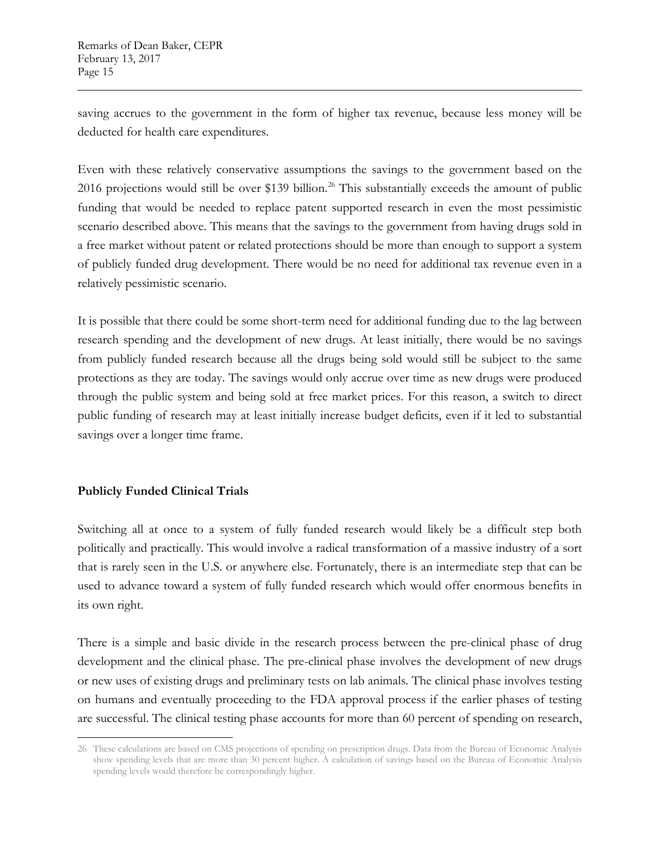saving accrues to the government in the form of higher tax revenue, because less money will be deducted for health care expenditures.

Even with these relatively conservative assumptions the savings to the government based on the 2016 projections would still be over \$139 billion.<sup>26</sup> This substantially exceeds the amount of public funding that would be needed to replace patent supported research in even the most pessimistic scenario described above. This means that the savings to the government from having drugs sold in a free market without patent or related protections should be more than enough to support a system of publicly funded drug development. There would be no need for additional tax revenue even in a relatively pessimistic scenario.

It is possible that there could be some short-term need for additional funding due to the lag between research spending and the development of new drugs. At least initially, there would be no savings from publicly funded research because all the drugs being sold would still be subject to the same protections as they are today. The savings would only accrue over time as new drugs were produced through the public system and being sold at free market prices. For this reason, a switch to direct public funding of research may at least initially increase budget deficits, even if it led to substantial savings over a longer time frame.

# **Publicly Funded Clinical Trials**

Switching all at once to a system of fully funded research would likely be a difficult step both politically and practically. This would involve a radical transformation of a massive industry of a sort that is rarely seen in the U.S. or anywhere else. Fortunately, there is an intermediate step that can be used to advance toward a system of fully funded research which would offer enormous benefits in its own right.

There is a simple and basic divide in the research process between the pre-clinical phase of drug development and the clinical phase. The pre-clinical phase involves the development of new drugs or new uses of existing drugs and preliminary tests on lab animals. The clinical phase involves testing on humans and eventually proceeding to the FDA approval process if the earlier phases of testing are successful. The clinical testing phase accounts for more than 60 percent of spending on research,

<span id="page-14-0"></span><sup>26</sup> These calculations are based on CMS projections of spending on prescription drugs. Data from the Bureau of Economic Analysis show spending levels that are more than 30 percent higher. A calculation of savings based on the Bureau of Economic Analysis spending levels would therefore be correspondingly higher.  $\overline{\phantom{a}}$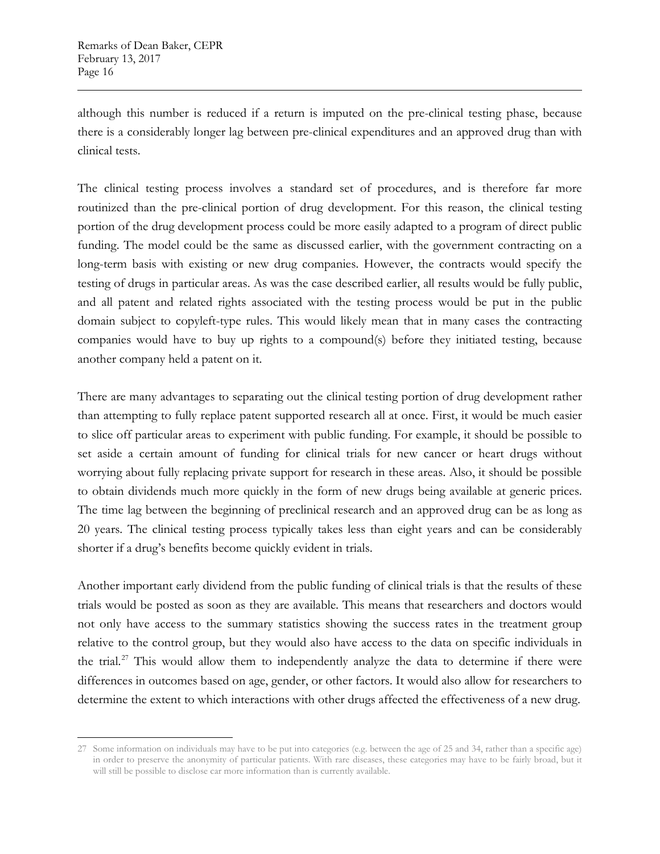although this number is reduced if a return is imputed on the pre-clinical testing phase, because there is a considerably longer lag between pre-clinical expenditures and an approved drug than with clinical tests.

The clinical testing process involves a standard set of procedures, and is therefore far more routinized than the pre-clinical portion of drug development. For this reason, the clinical testing portion of the drug development process could be more easily adapted to a program of direct public funding. The model could be the same as discussed earlier, with the government contracting on a long-term basis with existing or new drug companies. However, the contracts would specify the testing of drugs in particular areas. As was the case described earlier, all results would be fully public, and all patent and related rights associated with the testing process would be put in the public domain subject to copyleft-type rules. This would likely mean that in many cases the contracting companies would have to buy up rights to a compound(s) before they initiated testing, because another company held a patent on it.

There are many advantages to separating out the clinical testing portion of drug development rather than attempting to fully replace patent supported research all at once. First, it would be much easier to slice off particular areas to experiment with public funding. For example, it should be possible to set aside a certain amount of funding for clinical trials for new cancer or heart drugs without worrying about fully replacing private support for research in these areas. Also, it should be possible to obtain dividends much more quickly in the form of new drugs being available at generic prices. The time lag between the beginning of preclinical research and an approved drug can be as long as 20 years. The clinical testing process typically takes less than eight years and can be considerably shorter if a drug's benefits become quickly evident in trials.

Another important early dividend from the public funding of clinical trials is that the results of these trials would be posted as soon as they are available. This means that researchers and doctors would not only have access to the summary statistics showing the success rates in the treatment group relative to the control group, but they would also have access to the data on specific individuals in the trial.<sup>[27](#page-15-0)</sup> This would allow them to independently analyze the data to determine if there were differences in outcomes based on age, gender, or other factors. It would also allow for researchers to determine the extent to which interactions with other drugs affected the effectiveness of a new drug.

<span id="page-15-0"></span><sup>27</sup> Some information on individuals may have to be put into categories (e.g. between the age of 25 and 34, rather than a specific age) in order to preserve the anonymity of particular patients. With rare diseases, these categories may have to be fairly broad, but it will still be possible to disclose car more information than is currently available.  $\overline{\phantom{a}}$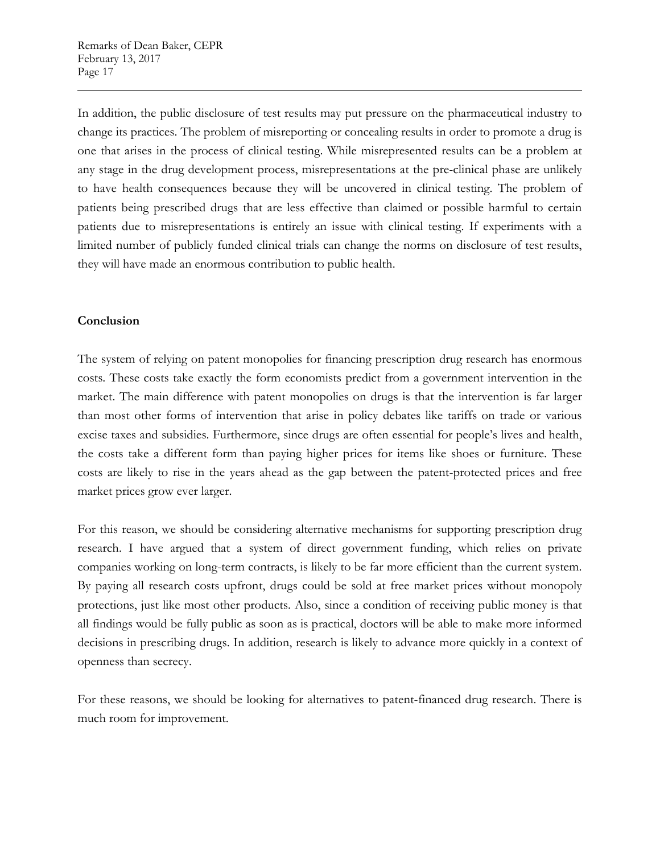In addition, the public disclosure of test results may put pressure on the pharmaceutical industry to change its practices. The problem of misreporting or concealing results in order to promote a drug is one that arises in the process of clinical testing. While misrepresented results can be a problem at any stage in the drug development process, misrepresentations at the pre-clinical phase are unlikely to have health consequences because they will be uncovered in clinical testing. The problem of patients being prescribed drugs that are less effective than claimed or possible harmful to certain patients due to misrepresentations is entirely an issue with clinical testing. If experiments with a limited number of publicly funded clinical trials can change the norms on disclosure of test results, they will have made an enormous contribution to public health.

## **Conclusion**

The system of relying on patent monopolies for financing prescription drug research has enormous costs. These costs take exactly the form economists predict from a government intervention in the market. The main difference with patent monopolies on drugs is that the intervention is far larger than most other forms of intervention that arise in policy debates like tariffs on trade or various excise taxes and subsidies. Furthermore, since drugs are often essential for people's lives and health, the costs take a different form than paying higher prices for items like shoes or furniture. These costs are likely to rise in the years ahead as the gap between the patent-protected prices and free market prices grow ever larger.

For this reason, we should be considering alternative mechanisms for supporting prescription drug research. I have argued that a system of direct government funding, which relies on private companies working on long-term contracts, is likely to be far more efficient than the current system. By paying all research costs upfront, drugs could be sold at free market prices without monopoly protections, just like most other products. Also, since a condition of receiving public money is that all findings would be fully public as soon as is practical, doctors will be able to make more informed decisions in prescribing drugs. In addition, research is likely to advance more quickly in a context of openness than secrecy.

For these reasons, we should be looking for alternatives to patent-financed drug research. There is much room for improvement.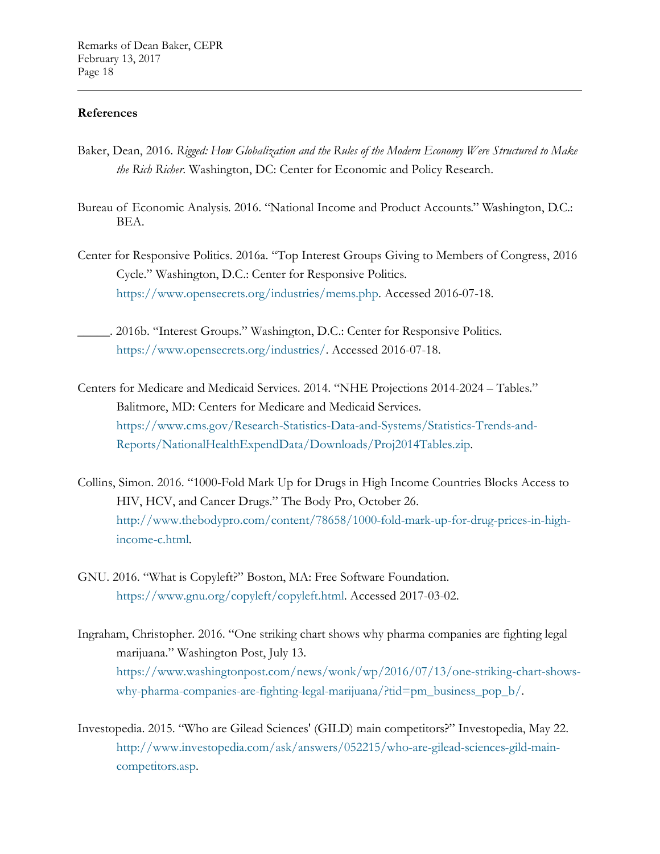#### **References**

- Baker, Dean, 2016. *Rigged: How Globalization and the Rules of the Modern Economy Were Structured to Make the Rich Richer*. Washington, DC: Center for Economic and Policy Research.
- Bureau of Economic Analysis. 2016. "National Income and Product Accounts." Washington, D.C.: BEA.
- Center for Responsive Politics. 2016a. "Top Interest Groups Giving to Members of Congress, 2016 Cycle." Washington, D.C.: Center for Responsive Politics. [https://www.opensecrets.org/industries/mems.php.](https://www.opensecrets.org/industries/mems.php) Accessed 2016-07-18.
- \_\_\_\_\_. 2016b. "Interest Groups." Washington, D.C.: Center for Responsive Politics. [https://www.opensecrets.org/industries/.](https://www.opensecrets.org/industries/) Accessed 2016-07-18.
- Centers for Medicare and Medicaid Services. 2014. "NHE Projections 2014-2024 Tables." Balitmore, MD: Centers for Medicare and Medicaid Services. [https://www.cms.gov/Research-Statistics-Data-and-Systems/Statistics-Trends-and-](https://www.cms.gov/Research-Statistics-Data-and-Systems/Statistics-Trends-and-Reports/NationalHealthExpendData/Downloads/Proj2014Tables.zip)[Reports/NationalHealthExpendData/Downloads/Proj2014Tables.zip.](https://www.cms.gov/Research-Statistics-Data-and-Systems/Statistics-Trends-and-Reports/NationalHealthExpendData/Downloads/Proj2014Tables.zip)
- Collins, Simon. 2016. "1000-Fold Mark Up for Drugs in High Income Countries Blocks Access to HIV, HCV, and Cancer Drugs." The Body Pro, October 26. [http://www.thebodypro.com/content/78658/1000-fold-mark-up-for-drug-prices-in-high](http://www.thebodypro.com/content/78658/1000-fold-mark-up-for-drug-prices-in-high-income-c.html)[income-c.html.](http://www.thebodypro.com/content/78658/1000-fold-mark-up-for-drug-prices-in-high-income-c.html)
- GNU. 2016. "What is Copyleft?" Boston, MA: Free Software Foundation. [https://www.gnu.org/copyleft/copyleft.html.](https://www.gnu.org/copyleft/copyleft.html) Accessed 2017-03-02.
- Ingraham, Christopher. 2016. "One striking chart shows why pharma companies are fighting legal marijuana." Washington Post, July 13. [https://www.washingtonpost.com/news/wonk/wp/2016/07/13/one-striking-chart-shows](https://www.washingtonpost.com/news/wonk/wp/2016/07/13/one-striking-chart-shows-why-pharma-companies-are-fighting-legal-marijuana/?tid=pm_business_pop_b/)[why-pharma-companies-are-fighting-legal-marijuana/?tid=pm\\_business\\_pop\\_b/.](https://www.washingtonpost.com/news/wonk/wp/2016/07/13/one-striking-chart-shows-why-pharma-companies-are-fighting-legal-marijuana/?tid=pm_business_pop_b/)
- Investopedia. 2015. "Who are Gilead Sciences' (GILD) main competitors?" Investopedia, May 22. [http://www.investopedia.com/ask/answers/052215/who-are-gilead-sciences-gild-main](http://www.investopedia.com/ask/answers/052215/who-are-gilead-sciences-gild-main-competitors.asp)[competitors.asp.](http://www.investopedia.com/ask/answers/052215/who-are-gilead-sciences-gild-main-competitors.asp)